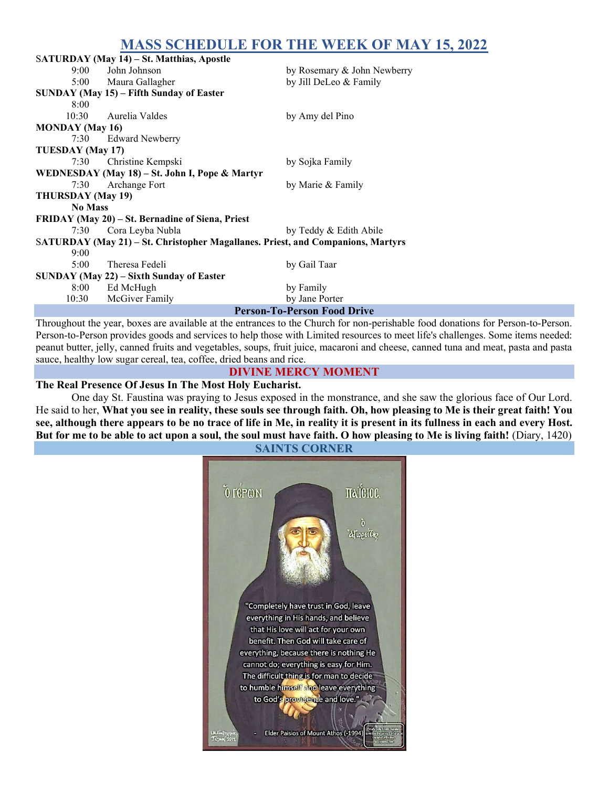# MASS SCHEDULE FOR THE WEEK OF MAY 15, 2022

|                                                                                 | SATURDAY (May 14) - St. Matthias, Apostle |                             |  |  |
|---------------------------------------------------------------------------------|-------------------------------------------|-----------------------------|--|--|
| 9:00                                                                            | John Johnson                              | by Rosemary & John Newberry |  |  |
|                                                                                 | 5:00 Maura Gallagher                      | by Jill DeLeo & Family      |  |  |
| SUNDAY (May 15) – Fifth Sunday of Easter                                        |                                           |                             |  |  |
| 8:00                                                                            |                                           |                             |  |  |
| 10:30                                                                           | Aurelia Valdes                            | by Amy del Pino             |  |  |
| <b>MONDAY</b> (May 16)                                                          |                                           |                             |  |  |
| 7:30                                                                            | <b>Edward Newberry</b>                    |                             |  |  |
| TUESDAY (May 17)                                                                |                                           |                             |  |  |
| 7:30                                                                            | Christine Kempski                         | by Sojka Family             |  |  |
| WEDNESDAY (May 18) – St. John I, Pope & Martyr                                  |                                           |                             |  |  |
| 7:30                                                                            | Archange Fort                             | by Marie & Family           |  |  |
| <b>THURSDAY</b> (May 19)                                                        |                                           |                             |  |  |
| <b>No Mass</b>                                                                  |                                           |                             |  |  |
| FRIDAY (May 20) – St. Bernadine of Siena, Priest                                |                                           |                             |  |  |
| 7:30                                                                            | Cora Leyba Nubla                          | by Teddy & Edith Abile      |  |  |
| SATURDAY (May 21) - St. Christopher Magallanes. Priest, and Companions, Martyrs |                                           |                             |  |  |
| 9:00                                                                            |                                           |                             |  |  |
| 5:00                                                                            | Theresa Fedeli                            | by Gail Taar                |  |  |
| SUNDAY (May 22) – Sixth Sunday of Easter                                        |                                           |                             |  |  |
| 8:00                                                                            | Ed McHugh                                 | by Family                   |  |  |
| 10:30                                                                           | McGiver Family                            | by Jane Porter              |  |  |
| <b>Person-To-Person Food Drive</b>                                              |                                           |                             |  |  |

Throughout the year, boxes are available at the entrances to the Church for non-perishable food donations for Person-to-Person. Person-to-Person provides goods and services to help those with Limited resources to meet life's challenges. Some items needed: peanut butter, jelly, canned fruits and vegetables, soups, fruit juice, macaroni and cheese, canned tuna and meat, pasta and pasta sauce, healthy low sugar cereal, tea, coffee, dried beans and rice.

## DIVINE MERCY MOMENT

#### The Real Presence Of Jesus In The Most Holy Eucharist.

 One day St. Faustina was praying to Jesus exposed in the monstrance, and she saw the glorious face of Our Lord. He said to her, What you see in reality, these souls see through faith. Oh, how pleasing to Me is their great faith! You see, although there appears to be no trace of life in Me, in reality it is present in its fullness in each and every Host. But for me to be able to act upon a soul, the soul must have faith. O how pleasing to Me is living faith! (Diary, 1420)



SAINTS CORNER